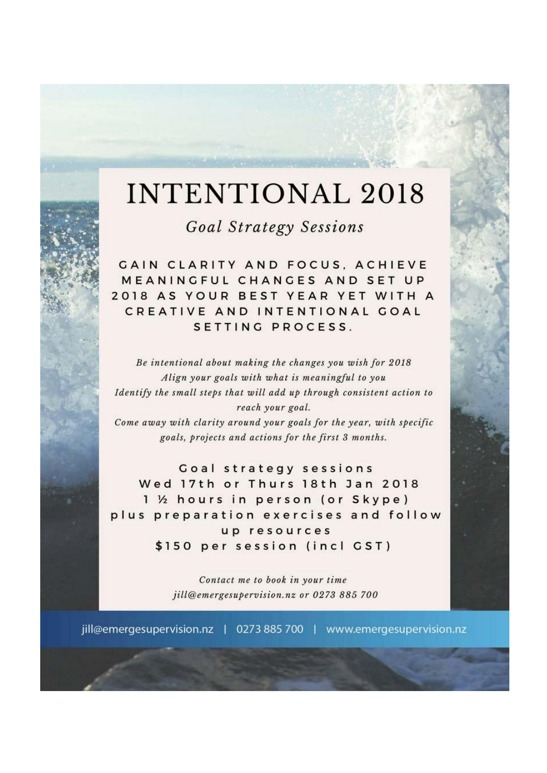## **INTENTIONAL 2018**

**Goal Strategy Sessions** 

**GAIN CLARITY AND FOCUS, ACHIEVE** MEANINGFUL CHANGES AND SET UP 2018 AS YOUR BEST YEAR YET WITH A CREATIVE AND INTENTIONAL GOAL SETTING PROCESS.

Be intentional about making the changes you wish for 2018 Align your goals with what is meaningful to you Identify the small steps that will add up through consistent action to reach your goal.

Come away with clarity around your goals for the year, with specific goals, projects and actions for the first 3 months.

Goal strategy sessions Wed 17th or Thurs 18th Jan 2018 1 ½ hours in person (or Skype) plus preparation exercises and follow up resources \$150 per session (incl GST)

> Contact me to book in your time jill@emergesupervision.nz or 0273 885 700

jill@emergesupervision.nz | 0273 885 700 | www.emergesupervision.nz